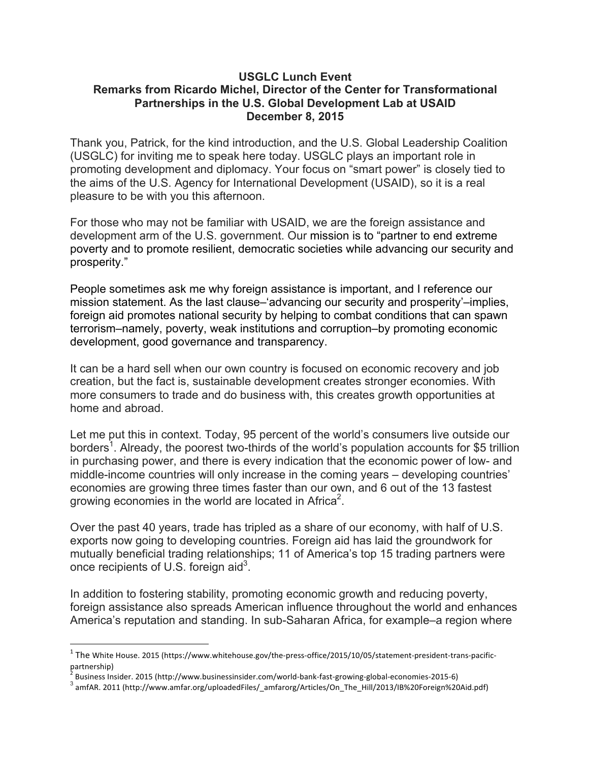## **USGLC Lunch Event Remarks from Ricardo Michel, Director of the Center for Transformational Partnerships in the U.S. Global Development Lab at USAID December 8, 2015**

Thank you, Patrick, for the kind introduction, and the U.S. Global Leadership Coalition (USGLC) for inviting me to speak here today. USGLC plays an important role in promoting development and diplomacy. Your focus on "smart power" is closely tied to the aims of the U.S. Agency for International Development (USAID), so it is a real pleasure to be with you this afternoon.

For those who may not be familiar with USAID, we are the foreign assistance and development arm of the U.S. government. Our mission is to "partner to end extreme poverty and to promote resilient, democratic societies while advancing our security and prosperity."

People sometimes ask me why foreign assistance is important, and I reference our mission statement. As the last clause–'advancing our security and prosperity'–implies, foreign aid promotes national security by helping to combat conditions that can spawn terrorism–namely, poverty, weak institutions and corruption–by promoting economic development, good governance and transparency.

It can be a hard sell when our own country is focused on economic recovery and job creation, but the fact is, sustainable development creates stronger economies. With more consumers to trade and do business with, this creates growth opportunities at home and abroad.

Let me put this in context. Today, 95 percent of the world's consumers live outside our borders<sup>1</sup>. Already, the poorest two-thirds of the world's population accounts for \$5 trillion in purchasing power, and there is every indication that the economic power of low- and middle-income countries will only increase in the coming years – developing countries' economies are growing three times faster than our own, and 6 out of the 13 fastest growing economies in the world are located in Africa<sup>2</sup>.

Over the past 40 years, trade has tripled as a share of our economy, with half of U.S. exports now going to developing countries. Foreign aid has laid the groundwork for mutually beneficial trading relationships; 11 of America's top 15 trading partners were once recipients of U.S. foreign aid $3$ .

In addition to fostering stability, promoting economic growth and reducing poverty, foreign assistance also spreads American influence throughout the world and enhances America's reputation and standing. In sub-Saharan Africa, for example–a region where

 

 $1$  The White House. 2015 (https://www.whitehouse.gov/the-press-office/2015/10/05/statement-president-trans-pacificpartnership)<br><sup>2</sup> Business Insider. 2015 (http://www.businessinsider.com/world-bank-fast-growing-global-economies-2015-6)

 $^3$  amfAR. 2011 (http://www.amfar.org/uploadedFiles/\_amfarorg/Articles/On\_The\_Hill/2013/IB%20Foreign%20Aid.pdf)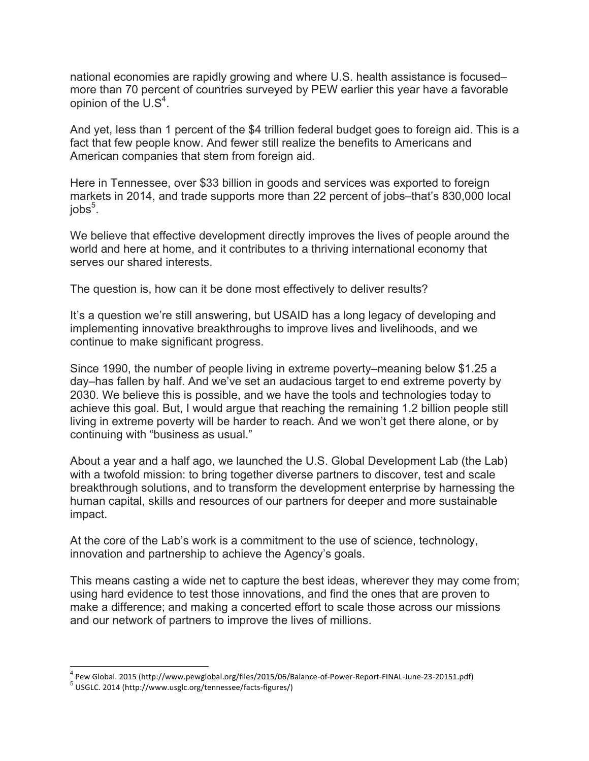national economies are rapidly growing and where U.S. health assistance is focused– more than 70 percent of countries surveyed by PEW earlier this year have a favorable opinion of the  $US<sup>4</sup>$ .

And yet, less than 1 percent of the \$4 trillion federal budget goes to foreign aid. This is a fact that few people know. And fewer still realize the benefits to Americans and American companies that stem from foreign aid.

Here in Tennessee, over \$33 billion in goods and services was exported to foreign markets in 2014, and trade supports more than 22 percent of jobs–that's 830,000 local job $\mathsf{s}^5$ .

We believe that effective development directly improves the lives of people around the world and here at home, and it contributes to a thriving international economy that serves our shared interests.

The question is, how can it be done most effectively to deliver results?

It's a question we're still answering, but USAID has a long legacy of developing and implementing innovative breakthroughs to improve lives and livelihoods, and we continue to make significant progress.

Since 1990, the number of people living in extreme poverty–meaning below \$1.25 a day–has fallen by half. And we've set an audacious target to end extreme poverty by 2030. We believe this is possible, and we have the tools and technologies today to achieve this goal. But, I would argue that reaching the remaining 1.2 billion people still living in extreme poverty will be harder to reach. And we won't get there alone, or by continuing with "business as usual."

About a year and a half ago, we launched the U.S. Global Development Lab (the Lab) with a twofold mission: to bring together diverse partners to discover, test and scale breakthrough solutions, and to transform the development enterprise by harnessing the human capital, skills and resources of our partners for deeper and more sustainable impact.

At the core of the Lab's work is a commitment to the use of science, technology, innovation and partnership to achieve the Agency's goals.

This means casting a wide net to capture the best ideas, wherever they may come from; using hard evidence to test those innovations, and find the ones that are proven to make a difference; and making a concerted effort to scale those across our missions and our network of partners to improve the lives of millions.

<sup>&</sup>lt;sup>4</sup> Pew Global. 2015 (http://www.pewglobal.org/files/2015/06/Balance-of-Power-Report-FINAL-June-23-20151.pdf)<br><sup>5</sup> USGLC. 2014 (http://www.usglc.org/tennessee/facts-figures/)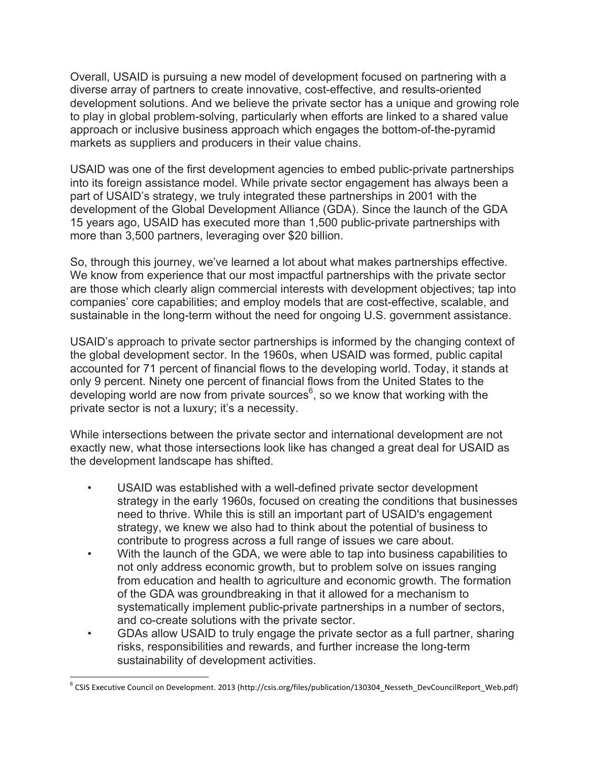Overall, USAID is pursuing a new model of development focused on partnering with a diverse array of partners to create innovative, cost-effective, and results-oriented development solutions. And we believe the private sector has a unique and growing role to play in global problem-solving, particularly when efforts are linked to a shared value approach or inclusive business approach which engages the bottom-of-the-pyramid markets as suppliers and producers in their value chains.

USAID was one of the first development agencies to embed public-private partnerships into its foreign assistance model. While private sector engagement has always been a part of USAID's strategy, we truly integrated these partnerships in 2001 with the development of the Global Development Alliance (GDA). Since the launch of the GDA 15 years ago, USAID has executed more than 1,500 public-private partnerships with more than 3,500 partners, leveraging over \$20 billion.

So, through this journey, we've learned a lot about what makes partnerships effective. We know from experience that our most impactful partnerships with the private sector are those which clearly align commercial interests with development objectives; tap into companies' core capabilities; and employ models that are cost-effective, scalable, and sustainable in the long-term without the need for ongoing U.S. government assistance.

USAID's approach to private sector partnerships is informed by the changing context of the global development sector. In the 1960s, when USAID was formed, public capital accounted for 71 percent of financial flows to the developing world. Today, it stands at only 9 percent. Ninety one percent of financial flows from the United States to the developing world are now from private sources<sup>6</sup>, so we know that working with the private sector is not a luxury; it's a necessity.

While intersections between the private sector and international development are not exactly new, what those intersections look like has changed a great deal for USAID as the development landscape has shifted.

- USAID was established with a well-defined private sector development strategy in the early 1960s, focused on creating the conditions that businesses need to thrive. While this is still an important part of USAID's engagement strategy, we knew we also had to think about the potential of business to contribute to progress across a full range of issues we care about.
- With the launch of the GDA, we were able to tap into business capabilities to not only address economic growth, but to problem solve on issues ranging from education and health to agriculture and economic growth. The formation of the GDA was groundbreaking in that it allowed for a mechanism to systematically implement public-private partnerships in a number of sectors, and co-create solutions with the private sector.
- GDAs allow USAID to truly engage the private sector as a full partner, sharing risks, responsibilities and rewards, and further increase the long-term sustainability of development activities.

 $^6$  CSIS Executive Council on Development. 2013 (http://csis.org/files/publication/130304\_Nesseth\_DevCouncilReport\_Web.pdf)